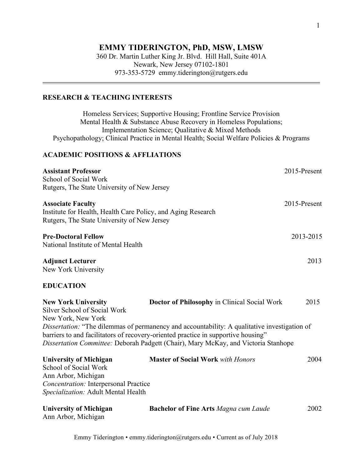# **EMMY TIDERINGTON, PhD, MSW, LMSW**

360 Dr. Martin Luther King Jr. Blvd. Hill Hall, Suite 401A Newark, New Jersey 07102-1801 973-353-5729 emmy.tiderington@rutgers.edu

# **RESEARCH & TEACHING INTERESTS**

Homeless Services; Supportive Housing; Frontline Service Provision Mental Health & Substance Abuse Recovery in Homeless Populations; Implementation Science; Qualitative & Mixed Methods Psychopathology; Clinical Practice in Mental Health; Social Welfare Policies & Programs

# **ACADEMIC POSITIONS & AFFLIATIONS**

| <b>Assistant Professor</b><br>School of Social Work<br>Rutgers, The State University of New Jersey                                                                   |                                                                                                                                                                                                                                                                                                                         | 2015-Present |
|----------------------------------------------------------------------------------------------------------------------------------------------------------------------|-------------------------------------------------------------------------------------------------------------------------------------------------------------------------------------------------------------------------------------------------------------------------------------------------------------------------|--------------|
| <b>Associate Faculty</b><br>Institute for Health, Health Care Policy, and Aging Research<br>Rutgers, The State University of New Jersey                              |                                                                                                                                                                                                                                                                                                                         | 2015-Present |
| <b>Pre-Doctoral Fellow</b><br>National Institute of Mental Health                                                                                                    |                                                                                                                                                                                                                                                                                                                         | 2013-2015    |
| <b>Adjunct Lecturer</b><br>New York University                                                                                                                       |                                                                                                                                                                                                                                                                                                                         | 2013         |
| <b>EDUCATION</b>                                                                                                                                                     |                                                                                                                                                                                                                                                                                                                         |              |
| <b>New York University</b><br>Silver School of Social Work<br>New York, New York                                                                                     | Doctor of Philosophy in Clinical Social Work<br>Dissertation: "The dilemmas of permanency and accountability: A qualitative investigation of<br>barriers to and facilitators of recovery-oriented practice in supportive housing"<br>Dissertation Committee: Deborah Padgett (Chair), Mary McKay, and Victoria Stanhope | 2015         |
| <b>University of Michigan</b><br>School of Social Work<br>Ann Arbor, Michigan<br><b>Concentration:</b> Interpersonal Practice<br>Specialization: Adult Mental Health | <b>Master of Social Work</b> with Honors                                                                                                                                                                                                                                                                                | 2004         |
| <b>University of Michigan</b><br>Ann Arbor, Michigan                                                                                                                 | <b>Bachelor of Fine Arts Magna cum Laude</b>                                                                                                                                                                                                                                                                            | 2002         |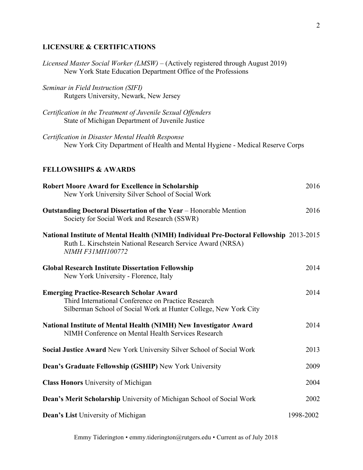# **LICENSURE & CERTIFICATIONS**

| Licensed Master Social Worker (LMSW) – (Actively registered through August 2019)<br>New York State Education Department Office of the Professions                          |           |
|----------------------------------------------------------------------------------------------------------------------------------------------------------------------------|-----------|
| Seminar in Field Instruction (SIFI)<br>Rutgers University, Newark, New Jersey                                                                                              |           |
| Certification in the Treatment of Juvenile Sexual Offenders<br>State of Michigan Department of Juvenile Justice                                                            |           |
| Certification in Disaster Mental Health Response<br>New York City Department of Health and Mental Hygiene - Medical Reserve Corps                                          |           |
| <b>FELLOWSHIPS &amp; AWARDS</b>                                                                                                                                            |           |
| Robert Moore Award for Excellence in Scholarship<br>New York University Silver School of Social Work                                                                       | 2016      |
| <b>Outstanding Doctoral Dissertation of the Year - Honorable Mention</b><br>Society for Social Work and Research (SSWR)                                                    | 2016      |
| National Institute of Mental Health (NIMH) Individual Pre-Doctoral Fellowship 2013-2015<br>Ruth L. Kirschstein National Research Service Award (NRSA)<br>NIMH F31MH100772  |           |
| <b>Global Research Institute Dissertation Fellowship</b><br>New York University - Florence, Italy                                                                          | 2014      |
| <b>Emerging Practice-Research Scholar Award</b><br>Third International Conference on Practice Research<br>Silberman School of Social Work at Hunter College, New York City | 2014      |
| National Institute of Mental Health (NIMH) New Investigator Award<br>NIMH Conference on Mental Health Services Research                                                    | 2014      |
| Social Justice Award New York University Silver School of Social Work                                                                                                      | 2013      |
| Dean's Graduate Fellowship (GSHIP) New York University                                                                                                                     | 2009      |
| <b>Class Honors</b> University of Michigan                                                                                                                                 | 2004      |
| <b>Dean's Merit Scholarship University of Michigan School of Social Work</b>                                                                                               | 2002      |
| Dean's List University of Michigan                                                                                                                                         | 1998-2002 |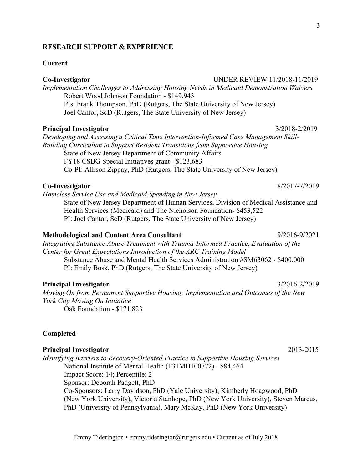#### **RESEARCH SUPPORT & EXPERIENCE**

#### **Current**

**Co-Investigator** UNDER REVIEW 11/2018-11/2019 *Implementation Challenges to Addressing Housing Needs in Medicaid Demonstration Waivers* Robert Wood Johnson Foundation - \$149,943 PIs: Frank Thompson, PhD (Rutgers, The State University of New Jersey) Joel Cantor, ScD (Rutgers, The State University of New Jersey)

#### **Principal Investigator** 3/2018-2/2019

*Developing and Assessing a Critical Time Intervention-Informed Case Management Skill-Building Curriculum to Support Resident Transitions from Supportive Housing* State of New Jersey Department of Community Affairs FY18 CSBG Special Initiatives grant - \$123,683 Co-PI: Allison Zippay, PhD (Rutgers, The State University of New Jersey)

#### **Co-Investigator** 8/2017-7/2019

# *Homeless Service Use and Medicaid Spending in New Jersey*

State of New Jersey Department of Human Services, Division of Medical Assistance and Health Services (Medicaid) and The Nicholson Foundation- \$453,522 PI: Joel Cantor, ScD (Rutgers, The State University of New Jersey)

#### **Methodological and Content Area Consultant** 9/2016-9/2021

*Integrating Substance Abuse Treatment with Trauma-Informed Practice, Evaluation of the Center for Great Expectations Introduction of the ARC Training Model* Substance Abuse and Mental Health Services Administration #SM63062 - \$400,000 PI: Emily Bosk, PhD (Rutgers, The State University of New Jersey)

#### **Principal Investigator** 3/2016-2/2019

*Moving On from Permanent Supportive Housing: Implementation and Outcomes of the New York City Moving On Initiative* Oak Foundation - \$171,823

#### **Completed**

#### **Principal Investigator** 2013-2015

*Identifying Barriers to Recovery-Oriented Practice in Supportive Housing Services* National Institute of Mental Health (F31MH100772) - \$84,464 Impact Score: 14; Percentile: 2 Sponsor: Deborah Padgett, PhD Co-Sponsors: Larry Davidson, PhD (Yale University); Kimberly Hoagwood, PhD (New York University), Victoria Stanhope, PhD (New York University), Steven Marcus, PhD (University of Pennsylvania), Mary McKay, PhD (New York University)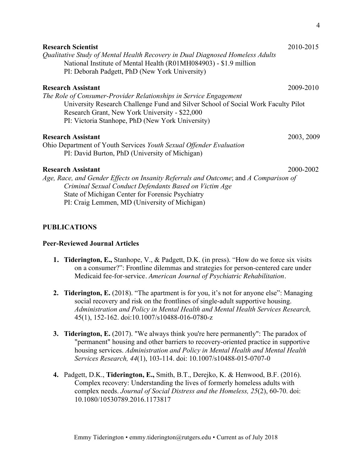| <b>Research Scientist</b>                                                            | 2010-2015  |
|--------------------------------------------------------------------------------------|------------|
| Qualitative Study of Mental Health Recovery in Dual Diagnosed Homeless Adults        |            |
| National Institute of Mental Health (R01MH084903) - \$1.9 million                    |            |
| PI: Deborah Padgett, PhD (New York University)                                       |            |
| <b>Research Assistant</b>                                                            | 2009-2010  |
| The Role of Consumer-Provider Relationships in Service Engagement                    |            |
| University Research Challenge Fund and Silver School of Social Work Faculty Pilot    |            |
| Research Grant, New York University - \$22,000                                       |            |
| PI: Victoria Stanhope, PhD (New York University)                                     |            |
| <b>Research Assistant</b>                                                            | 2003, 2009 |
| Ohio Department of Youth Services Youth Sexual Offender Evaluation                   |            |
| PI: David Burton, PhD (University of Michigan)                                       |            |
| <b>Research Assistant</b>                                                            | 2000-2002  |
| Age, Race, and Gender Effects on Insanity Referrals and Outcome; and A Comparison of |            |
| Criminal Sexual Conduct Defendants Based on Victim Age                               |            |
| $\sim$ $\sim$ $\sim$ $\sim$                                                          |            |

State of Michigan Center for Forensic Psychiatry PI: Craig Lemmen, MD (University of Michigan)

# **PUBLICATIONS**

# **Peer-Reviewed Journal Articles**

- **1. Tiderington, E.,** Stanhope, V., & Padgett, D.K. (in press). "How do we force six visits on a consumer?": Frontline dilemmas and strategies for person-centered care under Medicaid fee-for-service. *American Journal of Psychiatric Rehabilitation.*
- **2. Tiderington, E.** (2018). "The apartment is for you, it's not for anyone else": Managing social recovery and risk on the frontlines of single-adult supportive housing. *Administration and Policy in Mental Health and Mental Health Services Research,*  45(1), 152-162. doi:10.1007/s10488-016-0780-z
- **3. Tiderington, E.** (2017). "We always think you're here permanently": The paradox of "permanent" housing and other barriers to recovery-oriented practice in supportive housing services. *Administration and Policy in Mental Health and Mental Health Services Research, 44*(1), 103-114. doi: 10.1007/s10488-015-0707-0
- **4.** Padgett, D.K., **Tiderington, E.,** Smith, B.T., Derejko, K. & Henwood, B.F. (2016). Complex recovery: Understanding the lives of formerly homeless adults with complex needs. *Journal of Social Distress and the Homeless, 25*(2), 60-70. doi: 10.1080/10530789.2016.1173817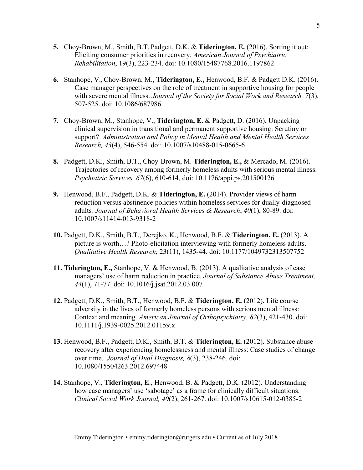- **5.** Choy-Brown, M., Smith, B.T, Padgett, D.K. & **Tiderington, E.** (2016). Sorting it out: Eliciting consumer priorities in recovery. *American Journal of Psychiatric Rehabilitation*, 19(3), 223-234. doi: 10.1080/15487768.2016.1197862
- **6.** Stanhope, V.,Choy-Brown, M., **Tiderington, E.,** Henwood, B.F. & Padgett D.K. (2016). Case manager perspectives on the role of treatment in supportive housing for people with severe mental illness. *Journal of the Society for Social Work and Research, 7*(3), 507-525. doi: 10.1086/687986
- **7.** Choy-Brown, M., Stanhope, V., **Tiderington, E.** & Padgett, D. (2016). Unpacking clinical supervision in transitional and permanent supportive housing: Scrutiny or support?*Administration and Policy in Mental Health and Mental Health Services Research, 43*(4), 546-554. doi: 10.1007/s10488-015-0665-6
- **8.** Padgett, D.K., Smith, B.T., Choy-Brown, M. **Tiderington, E.,** & Mercado, M. (2016). Trajectories of recovery among formerly homeless adults with serious mental illness. *Psychiatric Services, 67*(6), 610-614*,* doi: 10.1176/appi.ps.201500126
- **9.** Henwood, B.F., Padgett, D.K. & **Tiderington, E.** (2014). Provider views of harm reduction versus abstinence policies within homeless services for dually-diagnosed adults*. Journal of Behavioral Health Services & Research*, *40*(1), 80-89. doi: 10.1007/s11414-013-9318-2
- **10.** Padgett, D.K., Smith, B.T., Derejko, K., Henwood, B.F. & **Tiderington, E.** (2013). A picture is worth…? Photo-elicitation interviewing with formerly homeless adults. *Qualitative Health Research,* 23(11), 1435-44. doi: 10.1177/1049732313507752
- **11. Tiderington, E.,** Stanhope, V. & Henwood, B. (2013). A qualitative analysis of case managers' use of harm reduction in practice. *Journal of Substance Abuse Treatment, 44*(1), 71-77. doi: 10.1016/j.jsat.2012.03.007
- **12.** Padgett, D.K., Smith, B.T., Henwood, B.F. & **Tiderington, E.** (2012). Life course adversity in the lives of formerly homeless persons with serious mental illness: Context and meaning. *American Journal of Orthopsychiatry, 82*(3), 421-430. doi: 10.1111/j.1939-0025.2012.01159.x
- **13.** Henwood, B.F., Padgett, D.K., Smith, B.T. & **Tiderington, E.** (2012). Substance abuse recovery after experiencing homelessness and mental illness: Case studies of change over time. *Journal of Dual Diagnosis, 8*(3), 238-246. doi: 10.1080/15504263.2012.697448
- **14.** Stanhope, V., **Tiderington, E**., Henwood, B. & Padgett, D.K. (2012). Understanding how case managers' use 'sabotage' as a frame for clinically difficult situations. *Clinical Social Work Journal, 40*(2), 261-267. doi: 10.1007/s10615-012-0385-2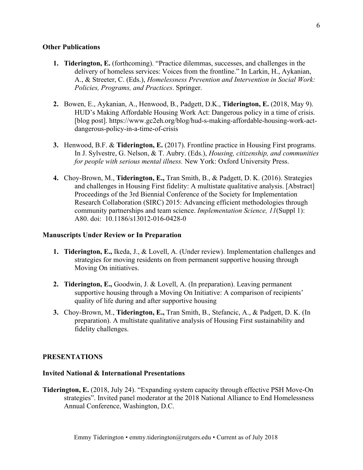### **Other Publications**

- **1. Tiderington, E.** (forthcoming). "Practice dilemmas, successes, and challenges in the delivery of homeless services: Voices from the frontline." In Larkin, H., Aykanian, A., & Streeter, C. (Eds.), *Homelessness Prevention and Intervention in Social Work: Policies, Programs, and Practices*. Springer.
- **2.** Bowen, E., Aykanian, A., Henwood, B., Padgett, D.K., **Tiderington, E.** (2018, May 9). HUD's Making Affordable Housing Work Act: Dangerous policy in a time of crisis. [blog post]. https://www.gc2eh.org/blog/hud-s-making-affordable-housing-work-actdangerous-policy-in-a-time-of-crisis
- **3.** Henwood, B.F. & **Tiderington, E.** (2017). Frontline practice in Housing First programs. In J. Sylvestre, G. Nelson, & T. Aubry. (Eds.), *Housing, citizenship, and communities for people with serious mental illness.* New York: Oxford University Press.
- **4.** Choy-Brown, M., **Tiderington, E.,** Tran Smith, B., & Padgett, D. K. (2016). Strategies and challenges in Housing First fidelity: A multistate qualitative analysis. [Abstract] Proceedings of the 3rd Biennial Conference of the Society for Implementation Research Collaboration (SIRC) 2015: Advancing efficient methodologies through community partnerships and team science. *Implementation Science, 11*(Suppl 1): A80. doi: 10.1186/s13012-016-0428-0

#### **Manuscripts Under Review or In Preparation**

- **1. Tiderington, E.,** Ikeda, J., & Lovell, A. (Under review). Implementation challenges and strategies for moving residents on from permanent supportive housing through Moving On initiatives.
- **2. Tiderington, E.,** Goodwin, J. & Lovell, A. (In preparation). Leaving permanent supportive housing through a Moving On Initiative: A comparison of recipients' quality of life during and after supportive housing
- **3.** Choy-Brown, M., **Tiderington, E.,** Tran Smith, B., Stefancic, A., & Padgett, D. K. (In preparation). A multistate qualitative analysis of Housing First sustainability and fidelity challenges.

#### **PRESENTATIONS**

# **Invited National & International Presentations**

**Tiderington, E.** (2018, July 24). "Expanding system capacity through effective PSH Move-On strategies". Invited panel moderator at the 2018 National Alliance to End Homelessness Annual Conference, Washington, D.C.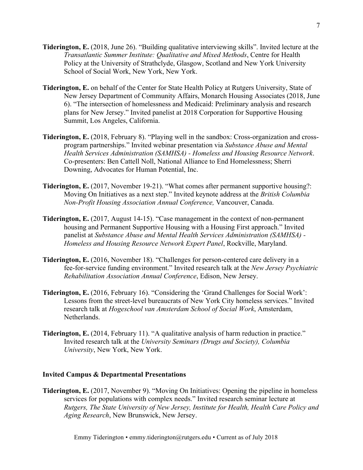- **Tiderington, E.** (2018, June 26). "Building qualitative interviewing skills". Invited lecture at the *Transatlantic Summer Institute: Qualitative and Mixed Methods*, Centre for Health Policy at the University of Strathclyde, Glasgow, Scotland and New York University School of Social Work, New York, New York.
- **Tiderington, E.** on behalf of the Center for State Health Policy at Rutgers University, State of New Jersey Department of Community Affairs, Monarch Housing Associates (2018, June 6). "The intersection of homelessness and Medicaid: Preliminary analysis and research plans for New Jersey." Invited panelist at 2018 Corporation for Supportive Housing Summit, Los Angeles, California.
- **Tiderington, E.** (2018, February 8). "Playing well in the sandbox: Cross-organization and crossprogram partnerships." Invited webinar presentation via *Substance Abuse and Mental Health Services Administration (SAMHSA) - Homeless and Housing Resource Network*. Co-presenters: Ben Cattell Noll, National Alliance to End Homelessness; Sherri Downing, Advocates for Human Potential, Inc.
- **Tiderington, E.** (2017, November 19-21). "What comes after permanent supportive housing?: Moving On Initiatives as a next step." Invited keynote address at the *British Columbia Non-Profit Housing Association Annual Conference,* Vancouver, Canada.
- **Tiderington, E.** (2017, August 14-15). "Case management in the context of non-permanent housing and Permanent Supportive Housing with a Housing First approach." Invited panelist at *Substance Abuse and Mental Health Services Administration (SAMHSA) - Homeless and Housing Resource Network Expert Panel*, Rockville, Maryland.
- **Tiderington, E.** (2016, November 18). "Challenges for person-centered care delivery in a fee-for-service funding environment." Invited research talk at the *New Jersey Psychiatric Rehabilitation Association Annual Conference*, Edison, New Jersey.
- **Tiderington, E.** (2016, February 16). "Considering the 'Grand Challenges for Social Work': Lessons from the street-level bureaucrats of New York City homeless services." Invited research talk at *Hogeschool van Amsterdam School of Social Work*, Amsterdam, Netherlands.
- **Tiderington, E.** (2014, February 11). "A qualitative analysis of harm reduction in practice." Invited research talk at the *University Seminars (Drugs and Society), Columbia University*, New York, New York.

#### **Invited Campus & Departmental Presentations**

**Tiderington, E.** (2017, November 9). "Moving On Initiatives: Opening the pipeline in homeless services for populations with complex needs." Invited research seminar lecture at *Rutgers, The State University of New Jersey, Institute for Health, Health Care Policy and Aging Research*, New Brunswick, New Jersey.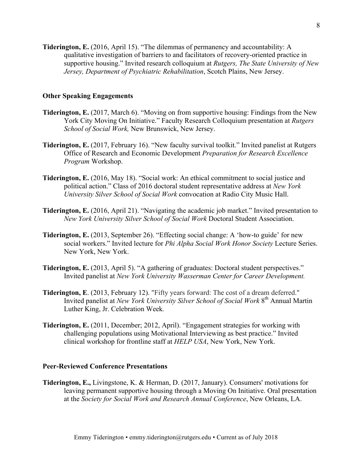**Tiderington, E.** (2016, April 15). "The dilemmas of permanency and accountability: A qualitative investigation of barriers to and facilitators of recovery-oriented practice in supportive housing." Invited research colloquium at *Rutgers, The State University of New Jersey, Department of Psychiatric Rehabilitation*, Scotch Plains, New Jersey.

### **Other Speaking Engagements**

- **Tiderington, E.** (2017, March 6). "Moving on from supportive housing: Findings from the New York City Moving On Initiative." Faculty Research Colloquium presentation at *Rutgers School of Social Work,* New Brunswick, New Jersey.
- **Tiderington, E.** (2017, February 16). "New faculty survival toolkit." Invited panelist at Rutgers Office of Research and Economic Development *Preparation for Research Excellence Program* Workshop.
- **Tiderington, E.** (2016, May 18). "Social work: An ethical commitment to social justice and political action." Class of 2016 doctoral student representative address at *New York University Silver School of Social Work* convocation at Radio City Music Hall.
- **Tiderington, E.** (2016, April 21). "Navigating the academic job market." Invited presentation to *New York University Silver School of Social Work* Doctoral Student Association.
- **Tiderington, E.** (2013, September 26). "Effecting social change: A 'how-to guide' for new social workers." Invited lecture for *Phi Alpha Social Work Honor Society* Lecture Series. New York, New York.
- **Tiderington, E.** (2013, April 5). "A gathering of graduates: Doctoral student perspectives." Invited panelist at *New York University Wasserman Center for Career Development.*
- **Tiderington, E**. (2013, February 12). "Fifty years forward: The cost of a dream deferred." Invited panelist at *New York University Silver School of Social Work* 8th Annual Martin Luther King, Jr. Celebration Week*.*
- **Tiderington, E.** (2011, December; 2012, April). "Engagement strategies for working with challenging populations using Motivational Interviewing as best practice." Invited clinical workshop for frontline staff at *HELP USA*, New York, New York.

# **Peer-Reviewed Conference Presentations**

**Tiderington, E.,** Livingstone, K. & Herman, D. (2017, January). Consumers' motivations for leaving permanent supportive housing through a Moving On Initiative. Oral presentation at the *Society for Social Work and Research Annual Conference*, New Orleans, LA.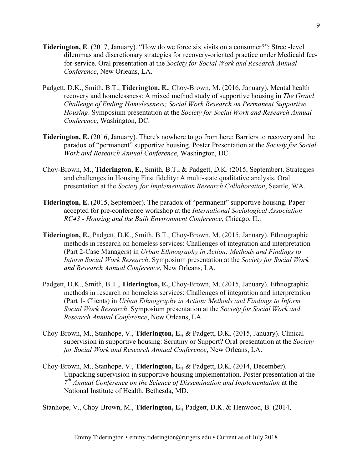- **Tiderington, E**. (2017, January). "How do we force six visits on a consumer?": Street-level dilemmas and discretionary strategies for recovery-oriented practice under Medicaid feefor-service. Oral presentation at the *Society for Social Work and Research Annual Conference*, New Orleans, LA.
- Padgett, D.K., Smith, B.T., **Tiderington, E.**, Choy-Brown, M. (2016, January). Mental health recovery and homelessness: A mixed method study of supportive housing in *The Grand Challenge of Ending Homelessness; Social Work Research on Permanent Supportive Housing*. Symposium presentation at the *Society for Social Work and Research Annual Conference*, Washington, DC.
- **Tiderington, E.** (2016, January). There's nowhere to go from here: Barriers to recovery and the paradox of "permanent" supportive housing. Poster Presentation at the *Society for Social Work and Research Annual Conference*, Washington, DC.
- Choy-Brown, M., **Tiderington, E.,** Smith, B.T., & Padgett, D.K. (2015, September). Strategies and challenges in Housing First fidelity: A multi-state qualitative analysis. Oral presentation at the *Society for Implementation Research Collaboration*, Seattle, WA.
- **Tiderington, E.** (2015, September). The paradox of "permanent" supportive housing. Paper accepted for pre-conference workshop at the *International Sociological Association RC43 - Housing and the Built Environment Conference*, Chicago, IL.
- **Tiderington, E.**, Padgett, D.K., Smith, B.T., Choy-Brown, M. (2015, January). Ethnographic methods in research on homeless services: Challenges of integration and interpretation (Part 2-Case Managers) in *Urban Ethnography in Action: Methods and Findings to Inform Social Work Research*. Symposium presentation at the *Society for Social Work and Research Annual Conference*, New Orleans, LA.
- Padgett, D.K., Smith, B.T., **Tiderington, E.**, Choy-Brown, M. (2015, January). Ethnographic methods in research on homeless services: Challenges of integration and interpretation (Part 1- Clients) in *Urban Ethnography in Action: Methods and Findings to Inform Social Work Research*. Symposium presentation at the *Society for Social Work and Research Annual Conference*, New Orleans, LA.
- Choy-Brown, M., Stanhope, V., **Tiderington, E.,** & Padgett, D.K. (2015, January). Clinical supervision in supportive housing: Scrutiny or Support? Oral presentation at the *Society for Social Work and Research Annual Conference*, New Orleans, LA.
- Choy-Brown, M., Stanhope, V., **Tiderington, E.,** & Padgett, D.K. (2014, December). Unpacking supervision in supportive housing implementation. Poster presentation at the *7th Annual Conference on the Science of Dissemination and Implementation* at the National Institute of Health. Bethesda, MD.

Stanhope, V., Choy-Brown, M., **Tiderington, E.,** Padgett, D.K. & Henwood, B. (2014,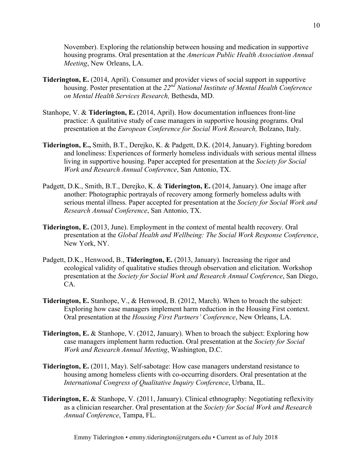November). Exploring the relationship between housing and medication in supportive housing programs. Oral presentation at the *American Public Health Association Annual Meeting*, New Orleans, LA.

- **Tiderington, E.** (2014, April). Consumer and provider views of social support in supportive housing. Poster presentation at the *22nd National Institute of Mental Health Conference on Mental Health Services Research,* Bethesda, MD.
- Stanhope, V. & **Tiderington, E.** (2014, April). How documentation influences front-line practice: A qualitative study of case managers in supportive housing programs. Oral presentation at the *European Conference for Social Work Research,* Bolzano, Italy.
- **Tiderington, E.,** Smith, B.T., Derejko, K. & Padgett, D.K. (2014, January). Fighting boredom and loneliness: Experiences of formerly homeless individuals with serious mental illness living in supportive housing. Paper accepted for presentation at the *Society for Social Work and Research Annual Conference*, San Antonio, TX.
- Padgett, D.K., Smith, B.T., Derejko, K. & **Tiderington, E.** (2014, January). One image after another: Photographic portrayals of recovery among formerly homeless adults with serious mental illness. Paper accepted for presentation at the *Society for Social Work and Research Annual Conference*, San Antonio, TX.
- **Tiderington, E.** (2013, June). Employment in the context of mental health recovery. Oral presentation at the *Global Health and Wellbeing: The Social Work Response Conference*, New York, NY.
- Padgett, D.K., Henwood, B., **Tiderington, E.** (2013, January). Increasing the rigor and ecological validity of qualitative studies through observation and elicitation. Workshop presentation at the *Society for Social Work and Research Annual Conference*, San Diego, CA.
- **Tiderington, E.** Stanhope, V., & Henwood, B. (2012, March). When to broach the subject: Exploring how case managers implement harm reduction in the Housing First context. Oral presentation at the *Housing First Partners' Conference*, New Orleans, LA.
- **Tiderington, E.** & Stanhope, V. (2012, January). When to broach the subject: Exploring how case managers implement harm reduction. Oral presentation at the *Society for Social Work and Research Annual Meeting*, Washington, D.C.
- **Tiderington, E.** (2011, May). Self-sabotage: How case managers understand resistance to housing among homeless clients with co-occurring disorders. Oral presentation at the *International Congress of Qualitative Inquiry Conference*, Urbana, IL.
- **Tiderington, E.** & Stanhope, V. (2011, January). Clinical ethnography: Negotiating reflexivity as a clinician researcher. Oral presentation at the *Society for Social Work and Research Annual Conference*, Tampa, FL.

10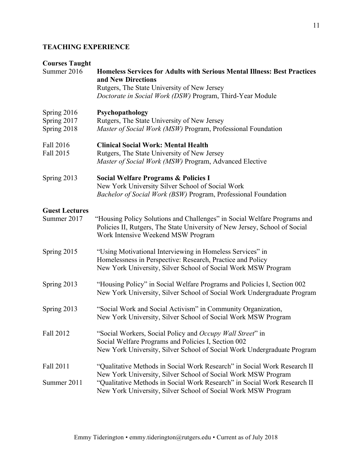# **TEACHING EXPERIENCE**

# **Courses Taught**

| Summer 2016                               | Homeless Services for Adults with Serious Mental Illness: Best Practices<br>and New Directions<br>Rutgers, The State University of New Jersey<br>Doctorate in Social Work (DSW) Program, Third-Year Module |
|-------------------------------------------|------------------------------------------------------------------------------------------------------------------------------------------------------------------------------------------------------------|
| Spring 2016<br>Spring 2017<br>Spring 2018 | Psychopathology<br>Rutgers, The State University of New Jersey<br>Master of Social Work (MSW) Program, Professional Foundation                                                                             |
| Fall 2016<br>Fall 2015                    | <b>Clinical Social Work: Mental Health</b><br>Rutgers, The State University of New Jersey<br>Master of Social Work (MSW) Program, Advanced Elective                                                        |
| Spring 2013                               | <b>Social Welfare Programs &amp; Policies I</b><br>New York University Silver School of Social Work<br>Bachelor of Social Work (BSW) Program, Professional Foundation                                      |
| <b>Guest Lectures</b><br>Summer 2017      | "Housing Policy Solutions and Challenges" in Social Welfare Programs and<br>Policies II, Rutgers, The State University of New Jersey, School of Social<br>Work Intensive Weekend MSW Program               |
| Spring 2015                               | "Using Motivational Interviewing in Homeless Services" in<br>Homelessness in Perspective: Research, Practice and Policy<br>New York University, Silver School of Social Work MSW Program                   |
| Spring 2013                               | "Housing Policy" in Social Welfare Programs and Policies I, Section 002<br>New York University, Silver School of Social Work Undergraduate Program                                                         |
| Spring 2013                               | "Social Work and Social Activism" in Community Organization,<br>New York University, Silver School of Social Work MSW Program                                                                              |
| Fall 2012                                 | "Social Workers, Social Policy and Occupy Wall Street" in<br>Social Welfare Programs and Policies I, Section 002<br>New York University, Silver School of Social Work Undergraduate Program                |
| Fall 2011                                 | "Qualitative Methods in Social Work Research" in Social Work Research II                                                                                                                                   |
| Summer 2011                               | New York University, Silver School of Social Work MSW Program<br>"Qualitative Methods in Social Work Research" in Social Work Research II<br>New York University, Silver School of Social Work MSW Program |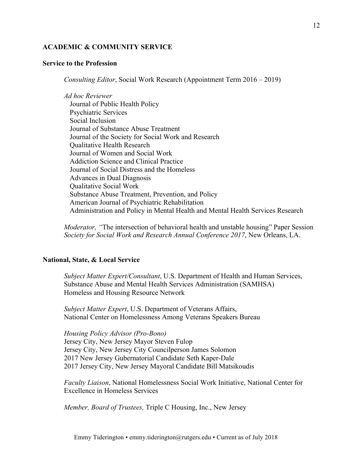#### **ACADEMIC & COMMUNITY SERVICE**

#### **Service to the Profession**

*Consulting Editor*, Social Work Research (Appointment Term 2016 – 2019)

*Ad hoc Reviewer* Journal of Public Health Policy Psychiatric Services Social Inclusion Journal of Substance Abuse Treatment Journal of the Society for Social Work and Research Qualitative Health Research Journal of Women and Social Work Addiction Science and Clinical Practice Journal of Social Distress and the Homeless Advances in Dual Diagnosis Qualitative Social Work Substance Abuse Treatment, Prevention, and Policy American Journal of Psychiatric Rehabilitation Administration and Policy in Mental Health and Mental Health Services Research

*Moderator, "*The intersection of behavioral health and unstable housing" Paper Session *Society for Social Work and Research Annual Conference 2017*, New Orleans, LA.

#### **National, State, & Local Service**

*Subject Matter Expert/Consultant*, U.S. Department of Health and Human Services, Substance Abuse and Mental Health Services Administration (SAMHSA) Homeless and Housing Resource Network

*Subject Matter Expert*, U.S. Department of Veterans Affairs, National Center on Homelessness Among Veterans Speakers Bureau

*Housing Policy Advisor (Pro-Bono)*

Jersey City, New Jersey Mayor Steven Fulop Jersey City, New Jersey City Councilperson James Solomon 2017 New Jersey Gubernatorial Candidate Seth Kaper-Dale 2017 Jersey City, New Jersey Mayoral Candidate Bill Matsikoudis

*Faculty Liaison*, National Homelessness Social Work Initiative, National Center for Excellence in Homeless Services

*Member, Board of Trustees,* Triple C Housing, Inc., New Jersey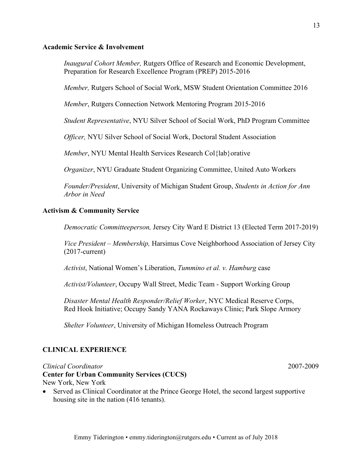### **Academic Service & Involvement**

*Inaugural Cohort Member,* Rutgers Office of Research and Economic Development, Preparation for Research Excellence Program (PREP) 2015-2016

*Member,* Rutgers School of Social Work, MSW Student Orientation Committee 2016

*Member*, Rutgers Connection Network Mentoring Program 2015-2016

*Student Representative*, NYU Silver School of Social Work, PhD Program Committee

*Officer,* NYU Silver School of Social Work, Doctoral Student Association

*Member*, NYU Mental Health Services Research Col{lab}orative

*Organizer*, NYU Graduate Student Organizing Committee, United Auto Workers

*Founder/President*, University of Michigan Student Group, *Students in Action for Ann Arbor in Need*

#### **Activism & Community Service**

*Democratic Committeeperson,* Jersey City Ward E District 13 (Elected Term 2017-2019)

*Vice President – Membership,* Harsimus Cove Neighborhood Association of Jersey City (2017-current)

*Activist*, National Women's Liberation, *Tummino et al. v. Hamburg* case

*Activist/Volunteer*, Occupy Wall Street, Medic Team - Support Working Group

*Disaster Mental Health Responder/Relief Worker*, NYC Medical Reserve Corps, Red Hook Initiative; Occupy Sandy YANA Rockaways Clinic; Park Slope Armory

*Shelter Volunteer*, University of Michigan Homeless Outreach Program

## **CLINICAL EXPERIENCE**

### *Clinical Coordinator*2007-2009

### **Center for Urban Community Services (CUCS)**  New York, New York

• Served as Clinical Coordinator at the Prince George Hotel, the second largest supportive housing site in the nation (416 tenants).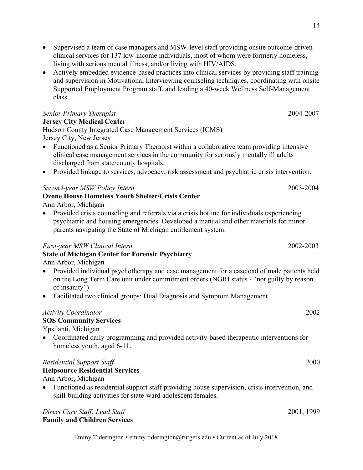Emmy Tiderington • emmy.tiderington@rutgers.edu • Current as of July 2018

- Supervised a team of case managers and MSW-level staff providing onsite outcome-driven clinical services for 137 low-income individuals, most of whom were formerly homeless, living with serious mental illness, and/or living with HIV/AIDS.
- Actively embedded evidence-based practices into clinical services by providing staff training and supervision in Motivational Interviewing counseling techniques, coordinating with onsite Supported Employment Program staff, and leading a 40-week Wellness Self-Management class.

# *Senior Primary Therapist*2004-2007

# **Jersey City Medical Center**

Hudson County Integrated Case Management Services (ICMS) Jersey City, New Jersey

- Functioned as a Senior Primary Therapist within a collaborative team providing intensive clinical case management services in the community for seriously mentally ill adults discharged from state/county hospitals.
- Provided linkage to services, advocacy, risk assessment and psychiatric crisis intervention.

# *Second-year MSW Policy Intern*2003-2004

# **Ozone House Homeless Youth Shelter/Crisis Center**

Ann Arbor, Michigan

• Provided crisis counseling and referrals via a crisis hotline for individuals experiencing psychiatric and housing emergencies. Developed a manual and other materials for minor parents navigating the State of Michigan entitlement system.

## *First-year MSW Clinical Intern* 2002-2003

# **State of Michigan Center for Forensic Psychiatry**

Ann Arbor, Michigan

- Provided individual psychotherapy and case management for a caseload of male patients held on the Long Term Care unit under commitment orders (NGRI status - "not guilty by reason of insanity")
- Facilitated two clinical groups: Dual Diagnosis and Symptom Management.

## *Activity Coordinator*2002

# **SOS Community Services**

Ypsilanti, Michigan

• Coordinated daily programming and provided activity-based therapeutic interventions for homeless youth, aged 6-11.

# *Residential Support Staff* 2000

# **Helpsource Residential Services**

Ann Arbor, Michigan

• Functioned as residential support staff providing house supervision, crisis intervention, and skill-building activities for state-ward adolescent females.

# *Direct Care Staff; Lead Staff* 2001, 1999 **Family and Children Services**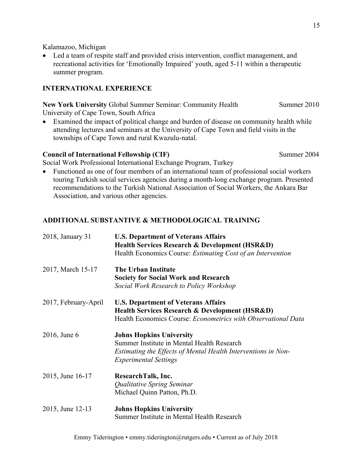Kalamazoo, Michigan

• Led a team of respite staff and provided crisis intervention, conflict management, and recreational activities for 'Emotionally Impaired' youth, aged 5-11 within a therapeutic summer program.

# **INTERNATIONAL EXPERIENCE**

**New York University** Global Summer Seminar: Community Health Summer 2010 University of Cape Town, South Africa

• Examined the impact of political change and burden of disease on community health while attending lectures and seminars at the University of Cape Town and field visits in the townships of Cape Town and rural Kwazulu-natal.

# **Council of International Fellowship (CIF)** Summer 2004

Social Work Professional International Exchange Program, Turkey

• Functioned as one of four members of an international team of professional social workers touring Turkish social services agencies during a month-long exchange program. Presented recommendations to the Turkish National Association of Social Workers, the Ankara Bar Association, and various other agencies.

# **ADDITIONAL SUBSTANTIVE & METHODOLOGICAL TRAINING**

| 2018, January 31     | <b>U.S. Department of Veterans Affairs</b><br>Health Services Research & Development (HSR&D)<br>Health Economics Course: <i>Estimating Cost of an Intervention</i>             |
|----------------------|--------------------------------------------------------------------------------------------------------------------------------------------------------------------------------|
| 2017, March 15-17    | The Urban Institute<br><b>Society for Social Work and Research</b><br>Social Work Research to Policy Workshop                                                                  |
| 2017, February-April | <b>U.S. Department of Veterans Affairs</b><br>Health Services Research & Development (HSR&D)<br>Health Economics Course: <i>Econometrics with Observational Data</i>           |
| 2016, June 6         | <b>Johns Hopkins University</b><br>Summer Institute in Mental Health Research<br>Estimating the Effects of Mental Health Interventions in Non-<br><b>Experimental Settings</b> |
| 2015, June 16-17     | ResearchTalk, Inc.<br>Qualitative Spring Seminar<br>Michael Quinn Patton, Ph.D.                                                                                                |
| 2015, June 12-13     | <b>Johns Hopkins University</b><br>Summer Institute in Mental Health Research                                                                                                  |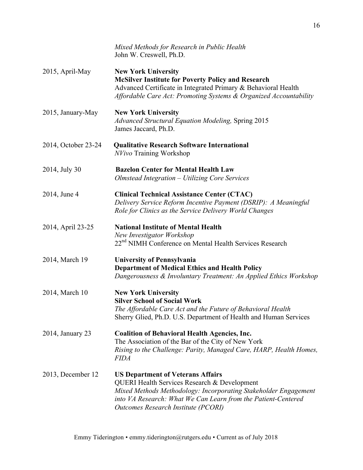|                     | Mixed Methods for Research in Public Health<br>John W. Creswell, Ph.D.                                                                                                                                                                                                                |
|---------------------|---------------------------------------------------------------------------------------------------------------------------------------------------------------------------------------------------------------------------------------------------------------------------------------|
| 2015, April-May     | <b>New York University</b><br><b>McSilver Institute for Poverty Policy and Research</b><br>Advanced Certificate in Integrated Primary & Behavioral Health<br>Affordable Care Act: Promoting Systems & Organized Accountability                                                        |
| 2015, January-May   | <b>New York University</b><br><b>Advanced Structural Equation Modeling, Spring 2015</b><br>James Jaccard, Ph.D.                                                                                                                                                                       |
| 2014, October 23-24 | <b>Qualitative Research Software International</b><br><b>NVivo Training Workshop</b>                                                                                                                                                                                                  |
| 2014, July 30       | <b>Bazelon Center for Mental Health Law</b><br>Olmstead Integration - Utilizing Core Services                                                                                                                                                                                         |
| 2014, June 4        | <b>Clinical Technical Assistance Center (CTAC)</b><br>Delivery Service Reform Incentive Payment (DSRIP): A Meaningful<br>Role for Clinics as the Service Delivery World Changes                                                                                                       |
| 2014, April 23-25   | <b>National Institute of Mental Health</b><br>New Investigator Workshop<br>22 <sup>nd</sup> NIMH Conference on Mental Health Services Research                                                                                                                                        |
| 2014, March 19      | <b>University of Pennsylvania</b><br><b>Department of Medical Ethics and Health Policy</b><br>Dangerousness & Involuntary Treatment: An Applied Ethics Workshop                                                                                                                       |
| 2014, March 10      | <b>New York University</b><br><b>Silver School of Social Work</b><br>The Affordable Care Act and the Future of Behavioral Health<br>Sherry Glied, Ph.D. U.S. Department of Health and Human Services                                                                                  |
| 2014, January 23    | <b>Coalition of Behavioral Health Agencies, Inc.</b><br>The Association of the Bar of the City of New York<br>Rising to the Challenge: Parity, Managed Care, HARP, Health Homes,<br><b>FIDA</b>                                                                                       |
| 2013, December 12   | <b>US Department of Veterans Affairs</b><br><b>QUERI Health Services Research &amp; Development</b><br>Mixed Methods Methodology: Incorporating Stakeholder Engagement<br>into VA Research: What We Can Learn from the Patient-Centered<br><b>Outcomes Research Institute (PCORI)</b> |